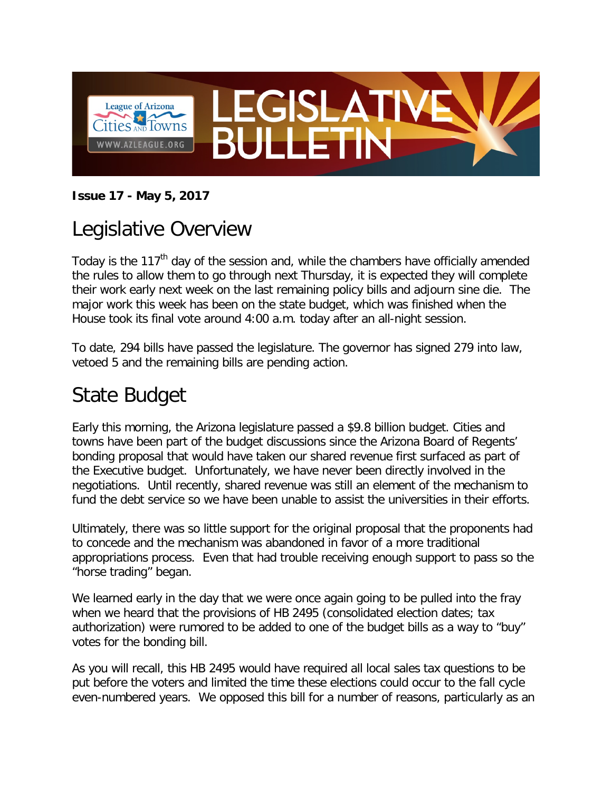

#### **Issue 17 - May 5, 2017**

### Legislative Overview

Today is the  $117<sup>th</sup>$  day of the session and, while the chambers have officially amended the rules to allow them to go through next Thursday, it is expected they will complete their work early next week on the last remaining policy bills and adjourn sine die. The major work this week has been on the state budget, which was finished when the House took its final vote around 4:00 a.m. today after an all-night session.

To date, 294 bills have passed the legislature. The governor has signed 279 into law, vetoed 5 and the remaining bills are pending action.

#### State Budget

Early this morning, the Arizona legislature passed a \$9.8 billion budget. Cities and towns have been part of the budget discussions since the Arizona Board of Regents' bonding proposal that would have taken our shared revenue first surfaced as part of the Executive budget. Unfortunately, we have never been directly involved in the negotiations. Until recently, shared revenue was still an element of the mechanism to fund the debt service so we have been unable to assist the universities in their efforts.

Ultimately, there was so little support for the original proposal that the proponents had to concede and the mechanism was abandoned in favor of a more traditional appropriations process. Even that had trouble receiving enough support to pass so the "horse trading" began.

We learned early in the day that we were once again going to be pulled into the fray when we heard that the provisions of HB 2495 (consolidated election dates; tax authorization) were rumored to be added to one of the budget bills as a way to "buy" votes for the bonding bill.

As you will recall, this HB 2495 would have required all local sales tax questions to be put before the voters and limited the time these elections could occur to the fall cycle even-numbered years. We opposed this bill for a number of reasons, particularly as an